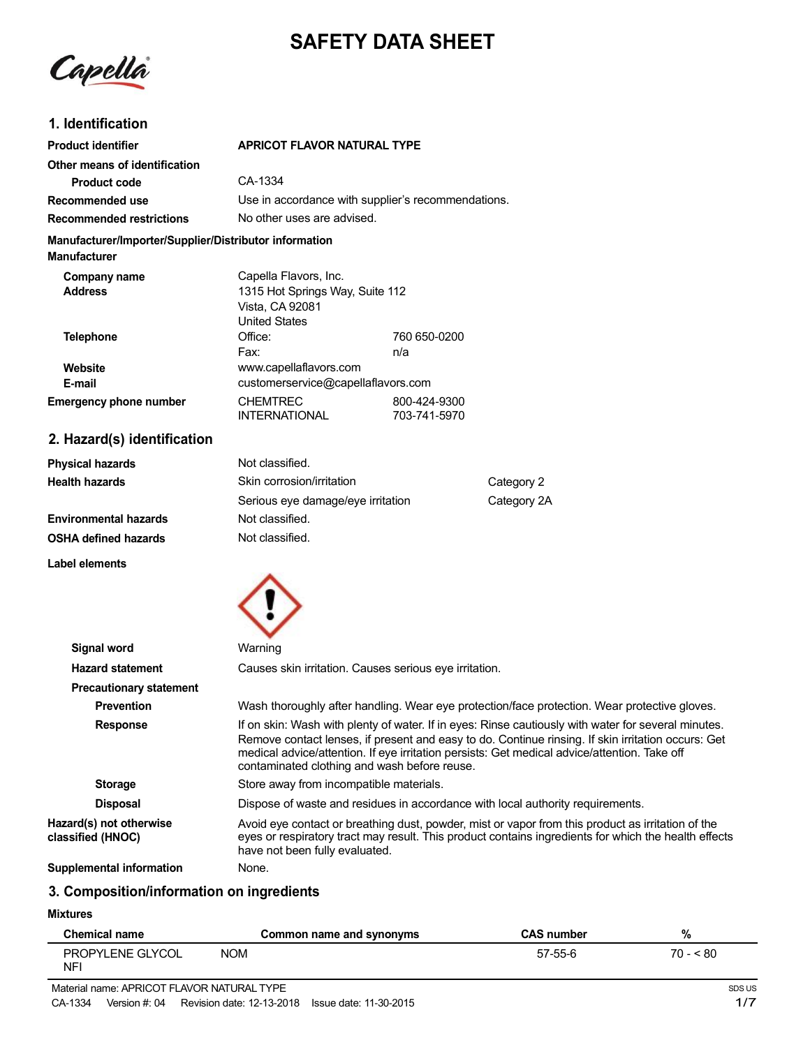# **SAFETY DATA SHEET**

Capella

### **1. Identification**

| <b>Product identifier</b>                                                     | <b>APRICOT FLAVOR NATURAL TYPE</b>                                         |                                                    |  |
|-------------------------------------------------------------------------------|----------------------------------------------------------------------------|----------------------------------------------------|--|
| Other means of identification                                                 |                                                                            |                                                    |  |
| <b>Product code</b>                                                           | CA-1334                                                                    |                                                    |  |
| Recommended use                                                               |                                                                            | Use in accordance with supplier's recommendations. |  |
| <b>Recommended restrictions</b>                                               | No other uses are advised.                                                 |                                                    |  |
| Manufacturer/Importer/Supplier/Distributor information<br><b>Manufacturer</b> |                                                                            |                                                    |  |
| Company name                                                                  | Capella Flavors, Inc.                                                      |                                                    |  |
| <b>Address</b>                                                                | 1315 Hot Springs Way, Suite 112<br>Vista, CA 92081<br><b>United States</b> |                                                    |  |
| <b>Telephone</b>                                                              | Office:                                                                    | 760 650-0200                                       |  |
|                                                                               | Fax:                                                                       | n/a                                                |  |
| Website                                                                       | www.capellaflavors.com                                                     |                                                    |  |
| E-mail                                                                        | customerservice@capellaflavors.com                                         |                                                    |  |
| <b>Emergency phone number</b>                                                 | <b>CHEMTREC</b>                                                            | 800-424-9300                                       |  |
|                                                                               | <b>INTERNATIONAL</b>                                                       | 703-741-5970                                       |  |
| 2. Hazard(s) identification                                                   |                                                                            |                                                    |  |
| Dhusiasi hayarda                                                              | Not olongified                                                             |                                                    |  |

| <b>Physical hazards</b>      | Not classified.                         |             |
|------------------------------|-----------------------------------------|-------------|
| Health hazards               | Skin corrosion/irritation<br>Category 2 |             |
|                              | Serious eye damage/eye irritation       | Category 2A |
| <b>Environmental hazards</b> | Not classified.                         |             |
| OSHA defined hazards         | Not classified.                         |             |
|                              |                                         |             |

**Label elements**



| Signal word                                  | Warning                                                                                                                                                                                                                                                                                                                                                   |
|----------------------------------------------|-----------------------------------------------------------------------------------------------------------------------------------------------------------------------------------------------------------------------------------------------------------------------------------------------------------------------------------------------------------|
| <b>Hazard statement</b>                      | Causes skin irritation. Causes serious eye irritation.                                                                                                                                                                                                                                                                                                    |
| <b>Precautionary statement</b>               |                                                                                                                                                                                                                                                                                                                                                           |
| <b>Prevention</b>                            | Wash thoroughly after handling. Wear eye protection/face protection. Wear protective gloves.                                                                                                                                                                                                                                                              |
| <b>Response</b>                              | If on skin: Wash with plenty of water. If in eyes: Rinse cautiously with water for several minutes.<br>Remove contact lenses, if present and easy to do. Continue rinsing. If skin irritation occurs: Get<br>medical advice/attention. If eye irritation persists: Get medical advice/attention. Take off<br>contaminated clothing and wash before reuse. |
| <b>Storage</b>                               | Store away from incompatible materials.                                                                                                                                                                                                                                                                                                                   |
| <b>Disposal</b>                              | Dispose of waste and residues in accordance with local authority requirements.                                                                                                                                                                                                                                                                            |
| Hazard(s) not otherwise<br>classified (HNOC) | Avoid eye contact or breathing dust, powder, mist or vapor from this product as irritation of the<br>eyes or respiratory tract may result. This product contains ingredients for which the health effects<br>have not been fully evaluated.                                                                                                               |
|                                              |                                                                                                                                                                                                                                                                                                                                                           |

### **Supplemental information** None.

## **3. Composition/information on ingredients**

**Mixtures**

| <b>Chemical name</b>           | Common name and synonyms | <b>CAS number</b> |           |
|--------------------------------|--------------------------|-------------------|-----------|
| PROPYLENE GLYCOL<br><b>NFI</b> | <b>NOM</b>               | 57-55-6           | $70 - 80$ |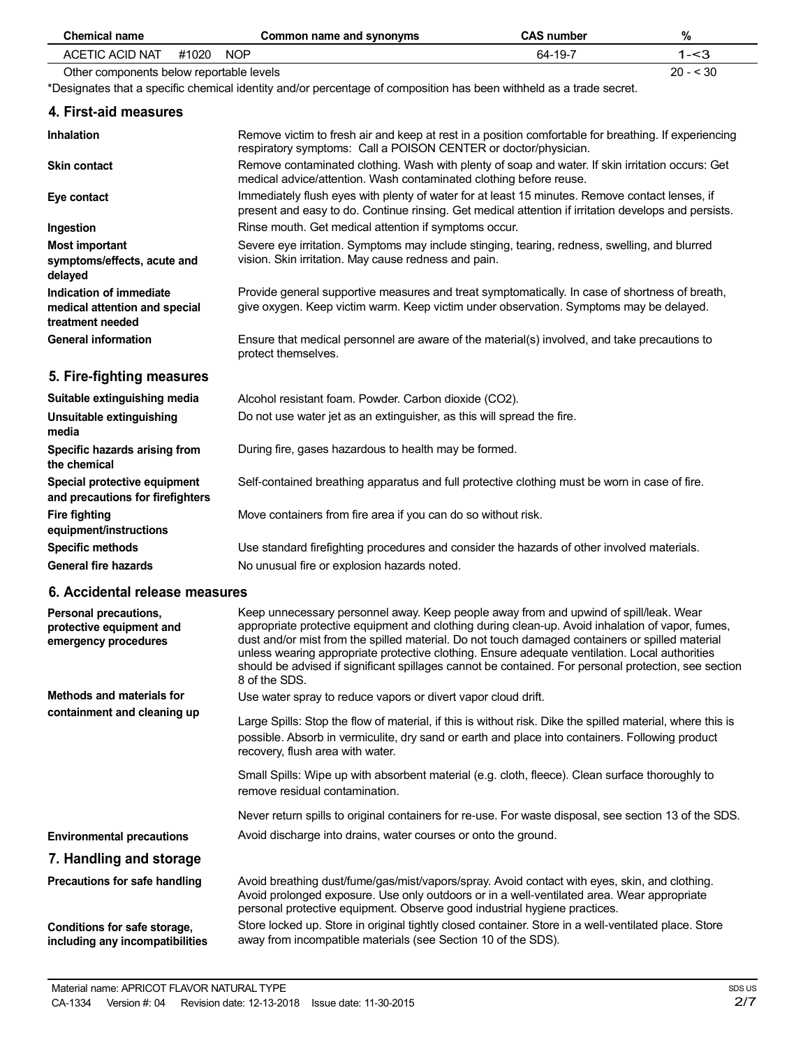| <b>Chemical name</b>                                                         | Common name and synonyms                                                                                                                                                                               | <b>CAS number</b> | $\%$       |
|------------------------------------------------------------------------------|--------------------------------------------------------------------------------------------------------------------------------------------------------------------------------------------------------|-------------------|------------|
| <b>ACETIC ACID NAT</b>                                                       | #1020<br><b>NOP</b>                                                                                                                                                                                    | 64-19-7           | $1 - 3$    |
| Other components below reportable levels                                     |                                                                                                                                                                                                        |                   | $20 - 530$ |
|                                                                              | *Designates that a specific chemical identity and/or percentage of composition has been withheld as a trade secret.                                                                                    |                   |            |
| 4. First-aid measures                                                        |                                                                                                                                                                                                        |                   |            |
| <b>Inhalation</b>                                                            | Remove victim to fresh air and keep at rest in a position comfortable for breathing. If experiencing<br>respiratory symptoms: Call a POISON CENTER or doctor/physician.                                |                   |            |
| <b>Skin contact</b>                                                          | Remove contaminated clothing. Wash with plenty of soap and water. If skin irritation occurs: Get<br>medical advice/attention. Wash contaminated clothing before reuse.                                 |                   |            |
| Eye contact                                                                  | Immediately flush eyes with plenty of water for at least 15 minutes. Remove contact lenses, if<br>present and easy to do. Continue rinsing. Get medical attention if irritation develops and persists. |                   |            |
| Ingestion                                                                    | Rinse mouth. Get medical attention if symptoms occur.                                                                                                                                                  |                   |            |
| <b>Most important</b><br>symptoms/effects, acute and<br>delayed              | Severe eye irritation. Symptoms may include stinging, tearing, redness, swelling, and blurred<br>vision. Skin irritation. May cause redness and pain.                                                  |                   |            |
| Indication of immediate<br>medical attention and special<br>treatment needed | Provide general supportive measures and treat symptomatically. In case of shortness of breath,<br>give oxygen. Keep victim warm. Keep victim under observation. Symptoms may be delayed.               |                   |            |
| <b>General information</b>                                                   | Ensure that medical personnel are aware of the material(s) involved, and take precautions to<br>protect themselves.                                                                                    |                   |            |
| 5. Fire-fighting measures                                                    |                                                                                                                                                                                                        |                   |            |
| Suitable extinguishing media                                                 | Alcohol resistant foam. Powder. Carbon dioxide (CO2).                                                                                                                                                  |                   |            |
| Unsuitable extinguishing<br>media                                            | Do not use water jet as an extinguisher, as this will spread the fire.                                                                                                                                 |                   |            |
| Specific hazards arising from<br>the chemical                                | During fire, gases hazardous to health may be formed.                                                                                                                                                  |                   |            |
| Special protective equipment<br>and precautions for firefighters             | Self-contained breathing apparatus and full protective clothing must be worn in case of fire.                                                                                                          |                   |            |
| <b>Fire fighting</b><br>equipment/instructions                               | Move containers from fire area if you can do so without risk.                                                                                                                                          |                   |            |
| <b>Specific methods</b>                                                      | Use standard firefighting procedures and consider the hazards of other involved materials.                                                                                                             |                   |            |
| <b>General fire hazards</b>                                                  | No unusual fire or explosion hazards noted.                                                                                                                                                            |                   |            |
| 6. Accidental release measures                                               |                                                                                                                                                                                                        |                   |            |
| Personal precautions,<br>protective equipment and                            | Keep unnecessary personnel away. Keep people away from and upwind of spill/leak. Wear<br>appropriate protective equipment and clothing during clean-up. Avoid inhalation of vapor, fumes,              |                   |            |

Use water spray to reduce vapors or divert vapor cloud drift.

Avoid discharge into drains, water courses or onto the ground.

away from incompatible materials (see Section 10 of the SDS).

personal protective equipment. Observe good industrial hygiene practices.

dust and/or mist from the spilled material. Do not touch damaged containers or spilled material unless wearing appropriate protective clothing. Ensure adequate ventilation. Local authorities should be advised if significant spillages cannot be contained. For personal protection, see section

Large Spills: Stop the flow of material, if this is without risk. Dike the spilled material, where this is possible. Absorb in vermiculite, dry sand or earth and place into containers. Following product

Small Spills: Wipe up with absorbent material (e.g. cloth, fleece). Clean surface thoroughly to

Avoid breathing dust/fume/gas/mist/vapors/spray. Avoid contact with eyes, skin, and clothing. Avoid prolonged exposure. Use only outdoors or in a well-ventilated area. Wear appropriate

Store locked up. Store in original tightly closed container. Store in a well-ventilated place. Store

Never return spills to original containers for re-use. For waste disposal, see section 13 of the SDS.

8 of the SDS.

recovery, flush area with water.

remove residual contamination.

**emergency procedures**

**Methods and materials for containment and cleaning up**

**Environmental precautions 7. Handling and storage Precautions for safe handling**

**Conditions for safe storage, including any incompatibilities**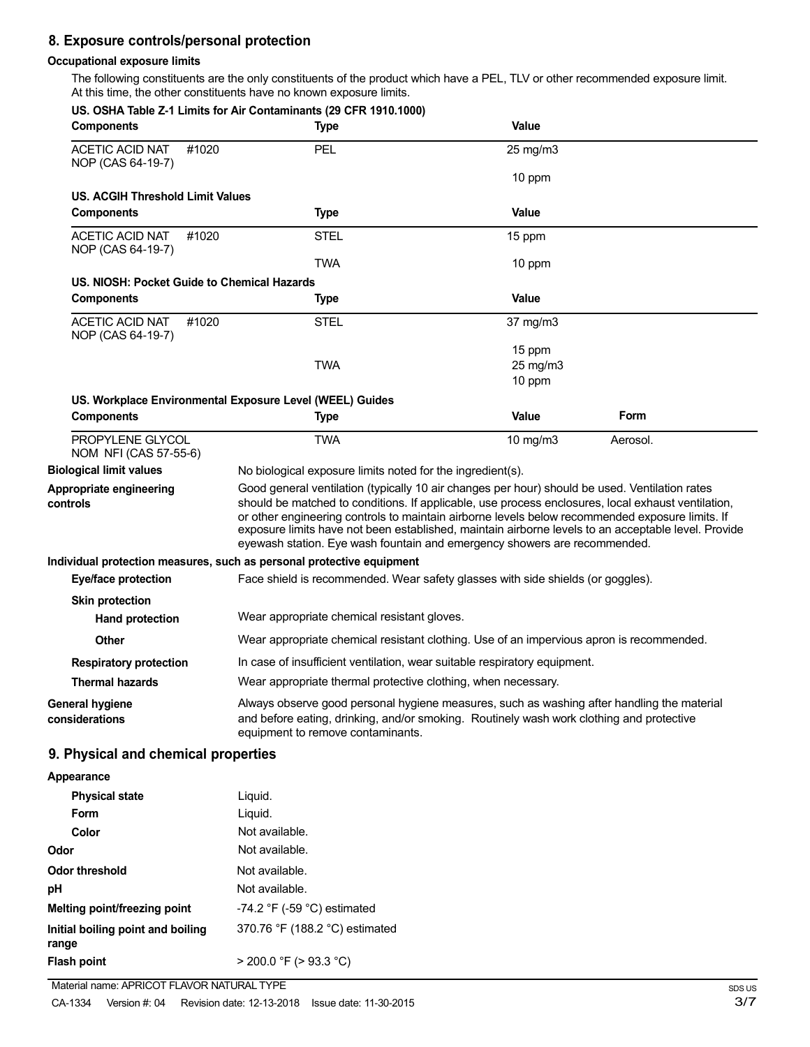### **8. Exposure controls/personal protection**

#### **Occupational exposure limits**

The following constituents are the only constituents of the product which have a PEL, TLV or other recommended exposure limit. At this time, the other constituents have no known exposure limits.

| <b>Components</b>                                    | US. OSHA Table Z-1 Limits for Air Contaminants (29 CFR 1910.1000)<br><b>Type</b>                                                                                                                                                                                                                                                                                                                                                                                                            | Value        |          |
|------------------------------------------------------|---------------------------------------------------------------------------------------------------------------------------------------------------------------------------------------------------------------------------------------------------------------------------------------------------------------------------------------------------------------------------------------------------------------------------------------------------------------------------------------------|--------------|----------|
| <b>ACETIC ACID NAT</b><br>#1020<br>NOP (CAS 64-19-7) | PEL                                                                                                                                                                                                                                                                                                                                                                                                                                                                                         | 25 mg/m3     |          |
|                                                      |                                                                                                                                                                                                                                                                                                                                                                                                                                                                                             | 10 ppm       |          |
| <b>US. ACGIH Threshold Limit Values</b>              |                                                                                                                                                                                                                                                                                                                                                                                                                                                                                             |              |          |
| <b>Components</b>                                    | <b>Type</b>                                                                                                                                                                                                                                                                                                                                                                                                                                                                                 | Value        |          |
| <b>ACETIC ACID NAT</b><br>#1020<br>NOP (CAS 64-19-7) | <b>STEL</b>                                                                                                                                                                                                                                                                                                                                                                                                                                                                                 | 15 ppm       |          |
|                                                      | <b>TWA</b>                                                                                                                                                                                                                                                                                                                                                                                                                                                                                  | 10 ppm       |          |
| US. NIOSH: Pocket Guide to Chemical Hazards          |                                                                                                                                                                                                                                                                                                                                                                                                                                                                                             |              |          |
| <b>Components</b>                                    | <b>Type</b>                                                                                                                                                                                                                                                                                                                                                                                                                                                                                 | <b>Value</b> |          |
| <b>ACETIC ACID NAT</b><br>#1020<br>NOP (CAS 64-19-7) | <b>STEL</b>                                                                                                                                                                                                                                                                                                                                                                                                                                                                                 | 37 mg/m3     |          |
|                                                      |                                                                                                                                                                                                                                                                                                                                                                                                                                                                                             | 15 ppm       |          |
|                                                      | <b>TWA</b>                                                                                                                                                                                                                                                                                                                                                                                                                                                                                  | 25 mg/m3     |          |
|                                                      |                                                                                                                                                                                                                                                                                                                                                                                                                                                                                             | 10 ppm       |          |
|                                                      | US. Workplace Environmental Exposure Level (WEEL) Guides                                                                                                                                                                                                                                                                                                                                                                                                                                    |              |          |
| <b>Components</b>                                    | <b>Type</b>                                                                                                                                                                                                                                                                                                                                                                                                                                                                                 | <b>Value</b> | Form     |
| PROPYLENE GLYCOL<br>NOM NFI (CAS 57-55-6)            | <b>TWA</b>                                                                                                                                                                                                                                                                                                                                                                                                                                                                                  | 10 mg/m3     | Aerosol. |
| <b>Biological limit values</b>                       | No biological exposure limits noted for the ingredient(s).                                                                                                                                                                                                                                                                                                                                                                                                                                  |              |          |
| Appropriate engineering<br>controls                  | Good general ventilation (typically 10 air changes per hour) should be used. Ventilation rates<br>should be matched to conditions. If applicable, use process enclosures, local exhaust ventilation,<br>or other engineering controls to maintain airborne levels below recommended exposure limits. If<br>exposure limits have not been established, maintain airborne levels to an acceptable level. Provide<br>eyewash station. Eye wash fountain and emergency showers are recommended. |              |          |
|                                                      | Individual protection measures, such as personal protective equipment                                                                                                                                                                                                                                                                                                                                                                                                                       |              |          |
| Eye/face protection                                  | Face shield is recommended. Wear safety glasses with side shields (or goggles).                                                                                                                                                                                                                                                                                                                                                                                                             |              |          |
| <b>Skin protection</b>                               |                                                                                                                                                                                                                                                                                                                                                                                                                                                                                             |              |          |
| <b>Hand protection</b>                               | Wear appropriate chemical resistant gloves.                                                                                                                                                                                                                                                                                                                                                                                                                                                 |              |          |
| Other                                                | Wear appropriate chemical resistant clothing. Use of an impervious apron is recommended.                                                                                                                                                                                                                                                                                                                                                                                                    |              |          |
| <b>Respiratory protection</b>                        | In case of insufficient ventilation, wear suitable respiratory equipment.                                                                                                                                                                                                                                                                                                                                                                                                                   |              |          |
| <b>Thermal hazards</b>                               | Wear appropriate thermal protective clothing, when necessary.                                                                                                                                                                                                                                                                                                                                                                                                                               |              |          |
| <b>General hygiene</b><br>considerations             | Always observe good personal hygiene measures, such as washing after handling the material<br>and before eating, drinking, and/or smoking. Routinely wash work clothing and protective<br>equipment to remove contaminants.                                                                                                                                                                                                                                                                 |              |          |
| 9. Physical and chemical properties                  |                                                                                                                                                                                                                                                                                                                                                                                                                                                                                             |              |          |
| Appearance                                           |                                                                                                                                                                                                                                                                                                                                                                                                                                                                                             |              |          |
| <b>Physical state</b>                                | Liquid.                                                                                                                                                                                                                                                                                                                                                                                                                                                                                     |              |          |
| Form                                                 | Liquid.                                                                                                                                                                                                                                                                                                                                                                                                                                                                                     |              |          |
| Color                                                | Not available.                                                                                                                                                                                                                                                                                                                                                                                                                                                                              |              |          |
| Odor                                                 | Not available.                                                                                                                                                                                                                                                                                                                                                                                                                                                                              |              |          |
| <b>Odor threshold</b>                                | Not available.                                                                                                                                                                                                                                                                                                                                                                                                                                                                              |              |          |
| pH                                                   | Not available.                                                                                                                                                                                                                                                                                                                                                                                                                                                                              |              |          |
| Melting point/freezing point                         | -74.2 °F (-59 °C) estimated                                                                                                                                                                                                                                                                                                                                                                                                                                                                 |              |          |
| Initial boiling point and boiling                    | 370.76 °F (188.2 °C) estimated                                                                                                                                                                                                                                                                                                                                                                                                                                                              |              |          |
|                                                      |                                                                                                                                                                                                                                                                                                                                                                                                                                                                                             |              |          |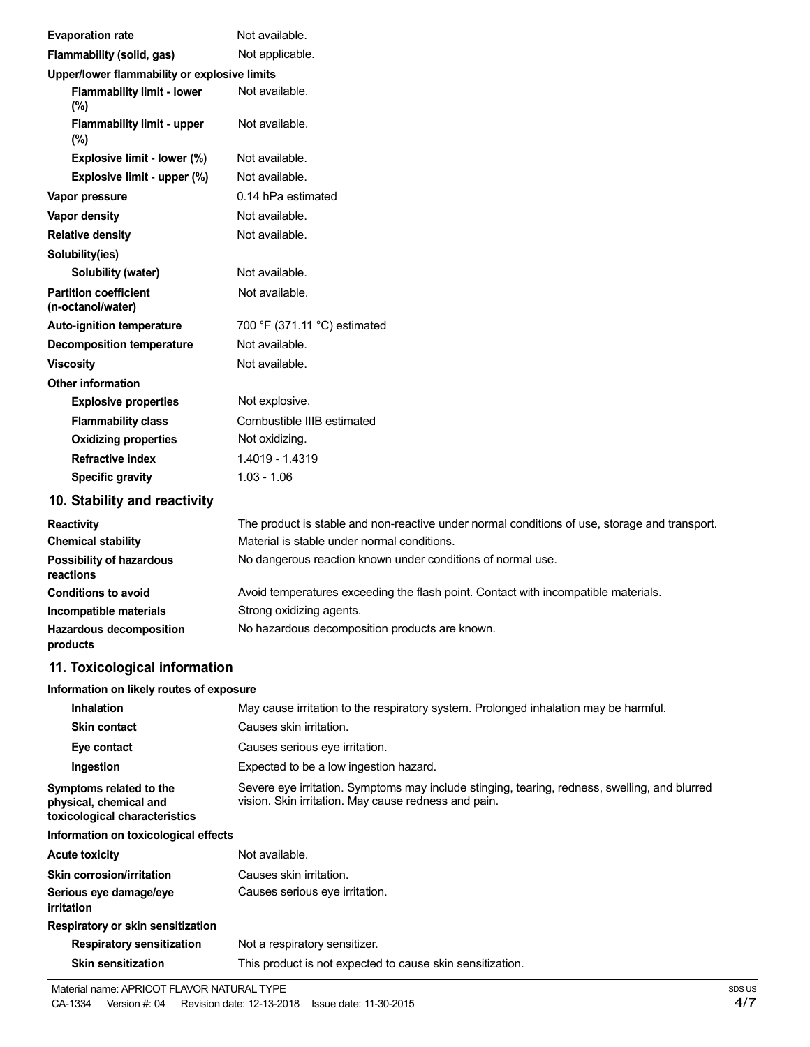|                                                                                             | Not available.                                                                                |
|---------------------------------------------------------------------------------------------|-----------------------------------------------------------------------------------------------|
| <b>Evaporation rate</b>                                                                     | Not applicable.                                                                               |
| Flammability (solid, gas)                                                                   |                                                                                               |
| Upper/lower flammability or explosive limits<br><b>Flammability limit - lower</b><br>$(\%)$ | Not available.                                                                                |
| Flammability limit - upper<br>$(\%)$                                                        | Not available.                                                                                |
| Explosive limit - lower (%)                                                                 | Not available.                                                                                |
| Explosive limit - upper (%)                                                                 | Not available.                                                                                |
| Vapor pressure                                                                              | 0.14 hPa estimated                                                                            |
| Vapor density                                                                               | Not available.                                                                                |
| <b>Relative density</b>                                                                     | Not available.                                                                                |
| Solubility(ies)                                                                             |                                                                                               |
| Solubility (water)                                                                          | Not available.                                                                                |
| <b>Partition coefficient</b><br>(n-octanol/water)                                           | Not available.                                                                                |
| <b>Auto-ignition temperature</b>                                                            | 700 °F (371.11 °C) estimated                                                                  |
| <b>Decomposition temperature</b>                                                            | Not available.                                                                                |
| <b>Viscosity</b>                                                                            | Not available.                                                                                |
| <b>Other information</b>                                                                    |                                                                                               |
| <b>Explosive properties</b>                                                                 | Not explosive.                                                                                |
| <b>Flammability class</b>                                                                   | Combustible IIIB estimated                                                                    |
| <b>Oxidizing properties</b>                                                                 | Not oxidizing.                                                                                |
| <b>Refractive index</b>                                                                     | 1.4019 - 1.4319                                                                               |
| <b>Specific gravity</b>                                                                     | $1.03 - 1.06$                                                                                 |
| 10. Stability and reactivity                                                                |                                                                                               |
| <b>Reactivity</b>                                                                           | The product is stable and non-reactive under normal conditions of use, storage and transport. |
| <b>Chemical stability</b>                                                                   | Material is stable under normal conditions.                                                   |
| <b>Possibility of hazardous</b><br>reactions                                                | No dangerous reaction known under conditions of normal use.                                   |
| <b>Conditions to avoid</b>                                                                  | Avoid temperatures exceeding the flash point. Contact with incompatible materials.            |
| Incompatible materials                                                                      | Strong oxidizing agents.                                                                      |
| <b>Hazardous decomposition</b><br>products                                                  | No hazardous decomposition products are known.                                                |
| 11. Toxicological information                                                               |                                                                                               |
| Information on likely routes of exposure                                                    |                                                                                               |
| <b>Inhalation</b>                                                                           | May cause irritation to the respiratory system. Prolonged inhalation may be harmful.          |
| <b>Skin contact</b>                                                                         | Causes skin irritation.                                                                       |
| Eye contact                                                                                 | Causes serious eye irritation.                                                                |
| Ingestion                                                                                   | Expected to be a low ingestion hazard.                                                        |

**Symptoms related to the physical, chemical and** Severe eye irritation. Symptoms may include stinging, tearing, redness, swelling, and blurred vision. Skin irritation. May cause redness and pain.

**toxicological characteristics Information on toxicological effects**

| <b>Acute toxicity</b>                | Not available.                                            |
|--------------------------------------|-----------------------------------------------------------|
| <b>Skin corrosion/irritation</b>     | Causes skin irritation.                                   |
| Serious eye damage/eye<br>irritation | Causes serious eye irritation.                            |
| Respiratory or skin sensitization    |                                                           |
| <b>Respiratory sensitization</b>     | Not a respiratory sensitizer.                             |
| <b>Skin sensitization</b>            | This product is not expected to cause skin sensitization. |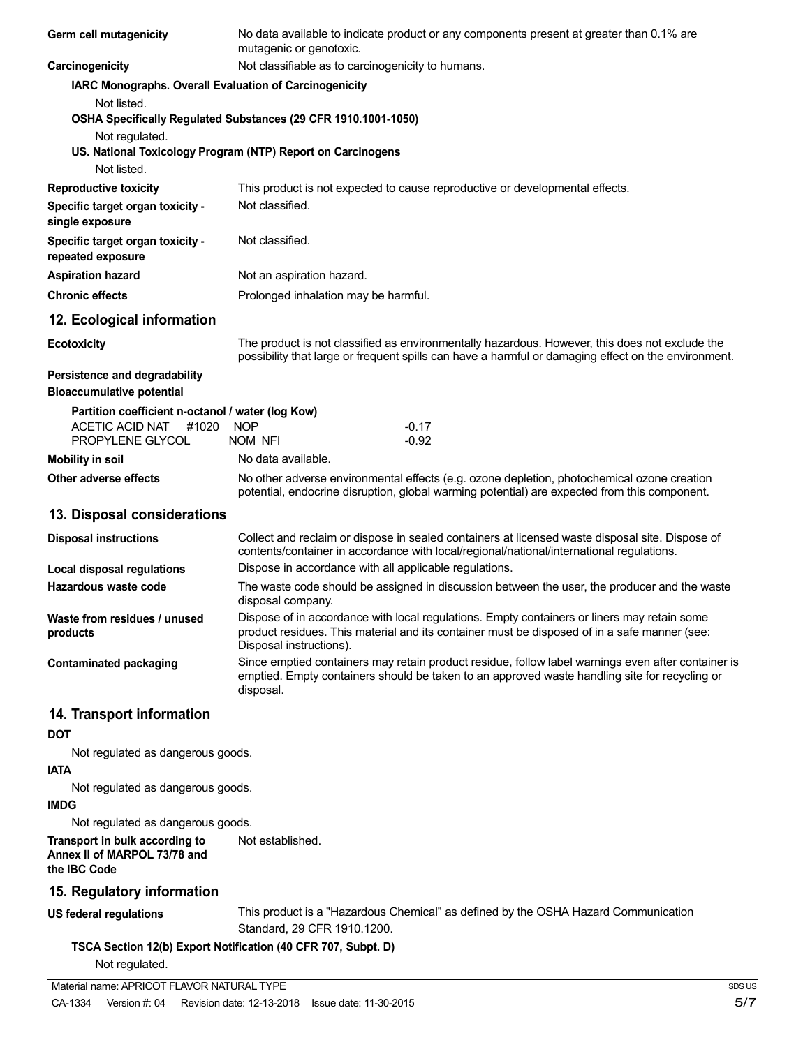| Germ cell mutagenicity                                                                                              | No data available to indicate product or any components present at greater than 0.1% are<br>mutagenic or genotoxic.                                                                                                    |  |  |
|---------------------------------------------------------------------------------------------------------------------|------------------------------------------------------------------------------------------------------------------------------------------------------------------------------------------------------------------------|--|--|
| Carcinogenicity                                                                                                     | Not classifiable as to carcinogenicity to humans.                                                                                                                                                                      |  |  |
| IARC Monographs. Overall Evaluation of Carcinogenicity                                                              |                                                                                                                                                                                                                        |  |  |
| Not listed.                                                                                                         | OSHA Specifically Regulated Substances (29 CFR 1910.1001-1050)                                                                                                                                                         |  |  |
| Not regulated.                                                                                                      | US. National Toxicology Program (NTP) Report on Carcinogens                                                                                                                                                            |  |  |
| Not listed.                                                                                                         |                                                                                                                                                                                                                        |  |  |
| <b>Reproductive toxicity</b><br>Specific target organ toxicity -<br>single exposure                                 | This product is not expected to cause reproductive or developmental effects.<br>Not classified.                                                                                                                        |  |  |
| Specific target organ toxicity -<br>repeated exposure                                                               | Not classified.                                                                                                                                                                                                        |  |  |
| <b>Aspiration hazard</b>                                                                                            | Not an aspiration hazard.                                                                                                                                                                                              |  |  |
| <b>Chronic effects</b>                                                                                              | Prolonged inhalation may be harmful.                                                                                                                                                                                   |  |  |
| 12. Ecological information                                                                                          |                                                                                                                                                                                                                        |  |  |
| <b>Ecotoxicity</b>                                                                                                  | The product is not classified as environmentally hazardous. However, this does not exclude the<br>possibility that large or frequent spills can have a harmful or damaging effect on the environment.                  |  |  |
| Persistence and degradability<br><b>Bioaccumulative potential</b>                                                   |                                                                                                                                                                                                                        |  |  |
| Partition coefficient n-octanol / water (log Kow)<br>ACETIC ACID NAT<br>#1020<br>PROPYLENE GLYCOL                   | <b>NOP</b><br>$-0.17$<br>$-0.92$<br>NOM NFI                                                                                                                                                                            |  |  |
| <b>Mobility in soil</b>                                                                                             | No data available.                                                                                                                                                                                                     |  |  |
| Other adverse effects                                                                                               | No other adverse environmental effects (e.g. ozone depletion, photochemical ozone creation<br>potential, endocrine disruption, global warming potential) are expected from this component.                             |  |  |
| 13. Disposal considerations                                                                                         |                                                                                                                                                                                                                        |  |  |
| <b>Disposal instructions</b>                                                                                        | Collect and reclaim or dispose in sealed containers at licensed waste disposal site. Dispose of<br>contents/container in accordance with local/regional/national/international regulations.                            |  |  |
| <b>Local disposal regulations</b>                                                                                   | Dispose in accordance with all applicable regulations.                                                                                                                                                                 |  |  |
| Hazardous waste code                                                                                                | The waste code should be assigned in discussion between the user, the producer and the waste<br>disposal company.                                                                                                      |  |  |
| Waste from residues / unused<br>products                                                                            | Dispose of in accordance with local regulations. Empty containers or liners may retain some<br>product residues. This material and its container must be disposed of in a safe manner (see:<br>Disposal instructions). |  |  |
| <b>Contaminated packaging</b>                                                                                       | Since emptied containers may retain product residue, follow label warnings even after container is<br>emptied. Empty containers should be taken to an approved waste handling site for recycling or<br>disposal.       |  |  |
| 14. Transport information<br><b>DOT</b>                                                                             |                                                                                                                                                                                                                        |  |  |
| Not regulated as dangerous goods.                                                                                   |                                                                                                                                                                                                                        |  |  |
| <b>IATA</b>                                                                                                         |                                                                                                                                                                                                                        |  |  |
| Not regulated as dangerous goods.                                                                                   |                                                                                                                                                                                                                        |  |  |
| <b>IMDG</b>                                                                                                         |                                                                                                                                                                                                                        |  |  |
| Not regulated as dangerous goods.<br>Transport in bulk according to<br>Annex II of MARPOL 73/78 and<br>the IBC Code | Not established.                                                                                                                                                                                                       |  |  |
| 15. Regulatory information                                                                                          |                                                                                                                                                                                                                        |  |  |
| <b>US federal regulations</b>                                                                                       | This product is a "Hazardous Chemical" as defined by the OSHA Hazard Communication<br>Standard, 29 CFR 1910.1200.                                                                                                      |  |  |
| Not regulated.                                                                                                      | TSCA Section 12(b) Export Notification (40 CFR 707, Subpt. D)                                                                                                                                                          |  |  |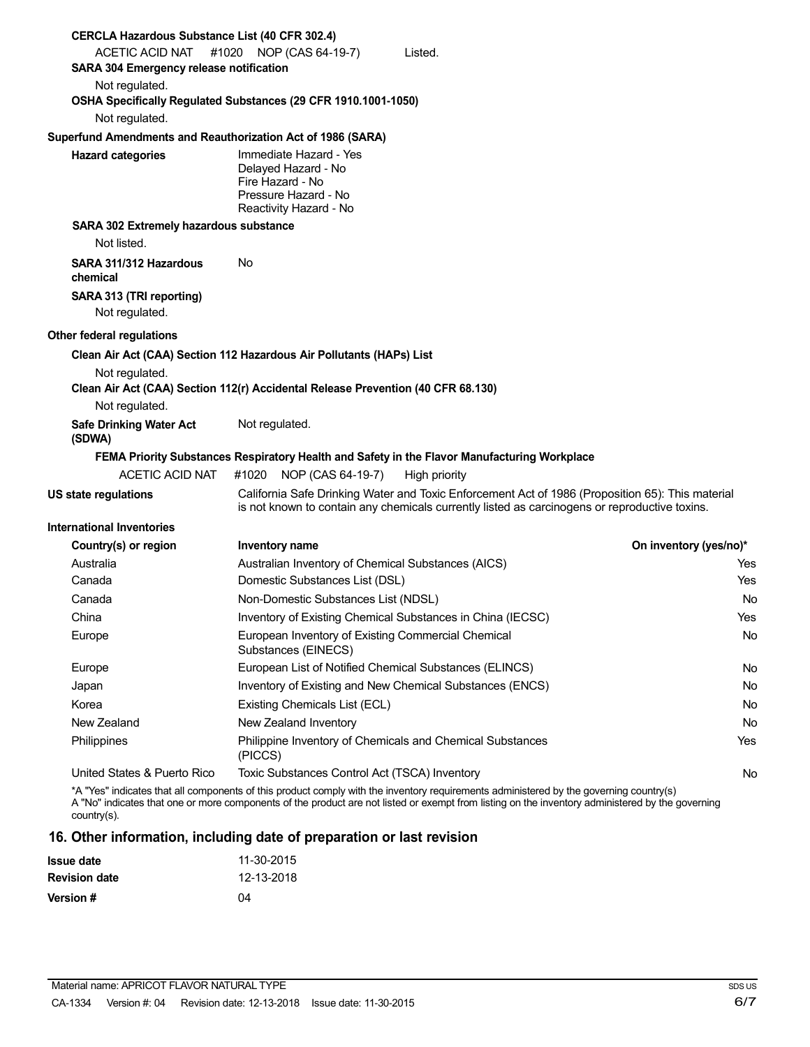| <b>CERCLA Hazardous Substance List (40 CFR 302.4)</b>                                              |                                                                                                                     |                                                                                                                                                                                                                                                                                            |                        |
|----------------------------------------------------------------------------------------------------|---------------------------------------------------------------------------------------------------------------------|--------------------------------------------------------------------------------------------------------------------------------------------------------------------------------------------------------------------------------------------------------------------------------------------|------------------------|
| ACETIC ACID NAT                                                                                    | #1020 NOP (CAS 64-19-7)                                                                                             | Listed.                                                                                                                                                                                                                                                                                    |                        |
| SARA 304 Emergency release notification                                                            |                                                                                                                     |                                                                                                                                                                                                                                                                                            |                        |
| Not regulated.                                                                                     |                                                                                                                     |                                                                                                                                                                                                                                                                                            |                        |
| OSHA Specifically Regulated Substances (29 CFR 1910.1001-1050)                                     |                                                                                                                     |                                                                                                                                                                                                                                                                                            |                        |
| Not regulated.                                                                                     |                                                                                                                     |                                                                                                                                                                                                                                                                                            |                        |
| Superfund Amendments and Reauthorization Act of 1986 (SARA)                                        |                                                                                                                     |                                                                                                                                                                                                                                                                                            |                        |
| <b>Hazard categories</b>                                                                           | Immediate Hazard - Yes<br>Delayed Hazard - No<br>Fire Hazard - No<br>Pressure Hazard - No<br>Reactivity Hazard - No |                                                                                                                                                                                                                                                                                            |                        |
| SARA 302 Extremely hazardous substance                                                             |                                                                                                                     |                                                                                                                                                                                                                                                                                            |                        |
| Not listed.                                                                                        |                                                                                                                     |                                                                                                                                                                                                                                                                                            |                        |
| SARA 311/312 Hazardous<br>chemical                                                                 | No                                                                                                                  |                                                                                                                                                                                                                                                                                            |                        |
| SARA 313 (TRI reporting)<br>Not regulated.                                                         |                                                                                                                     |                                                                                                                                                                                                                                                                                            |                        |
| Other federal regulations                                                                          |                                                                                                                     |                                                                                                                                                                                                                                                                                            |                        |
| Clean Air Act (CAA) Section 112 Hazardous Air Pollutants (HAPs) List                               |                                                                                                                     |                                                                                                                                                                                                                                                                                            |                        |
| Not regulated.<br>Clean Air Act (CAA) Section 112(r) Accidental Release Prevention (40 CFR 68.130) |                                                                                                                     |                                                                                                                                                                                                                                                                                            |                        |
| Not regulated.                                                                                     |                                                                                                                     |                                                                                                                                                                                                                                                                                            |                        |
| <b>Safe Drinking Water Act</b><br>(SDWA)                                                           | Not regulated.                                                                                                      |                                                                                                                                                                                                                                                                                            |                        |
|                                                                                                    |                                                                                                                     | FEMA Priority Substances Respiratory Health and Safety in the Flavor Manufacturing Workplace                                                                                                                                                                                               |                        |
| ACETIC ACID NAT                                                                                    | #1020 NOP (CAS 64-19-7)                                                                                             | High priority                                                                                                                                                                                                                                                                              |                        |
| <b>US state regulations</b>                                                                        |                                                                                                                     | California Safe Drinking Water and Toxic Enforcement Act of 1986 (Proposition 65): This material<br>is not known to contain any chemicals currently listed as carcinogens or reproductive toxins.                                                                                          |                        |
| <b>International Inventories</b>                                                                   |                                                                                                                     |                                                                                                                                                                                                                                                                                            |                        |
| Country(s) or region                                                                               | Inventory name                                                                                                      |                                                                                                                                                                                                                                                                                            | On inventory (yes/no)* |
| Australia                                                                                          | Australian Inventory of Chemical Substances (AICS)                                                                  |                                                                                                                                                                                                                                                                                            | Yes                    |
| Canada                                                                                             | Domestic Substances List (DSL)                                                                                      |                                                                                                                                                                                                                                                                                            | Yes                    |
| Canada                                                                                             | Non-Domestic Substances List (NDSL)                                                                                 |                                                                                                                                                                                                                                                                                            | No                     |
| China                                                                                              |                                                                                                                     | Inventory of Existing Chemical Substances in China (IECSC)                                                                                                                                                                                                                                 | Yes                    |
| Europe                                                                                             | Substances (EINECS)                                                                                                 | European Inventory of Existing Commercial Chemical                                                                                                                                                                                                                                         | No.                    |
| Europe                                                                                             |                                                                                                                     | European List of Notified Chemical Substances (ELINCS)                                                                                                                                                                                                                                     | No.                    |
| Japan                                                                                              |                                                                                                                     | Inventory of Existing and New Chemical Substances (ENCS)                                                                                                                                                                                                                                   | No.                    |
| Korea                                                                                              | Existing Chemicals List (ECL)                                                                                       |                                                                                                                                                                                                                                                                                            | No.                    |
| New Zealand                                                                                        | New Zealand Inventory                                                                                               |                                                                                                                                                                                                                                                                                            | No.                    |
| Philippines                                                                                        | (PICCS)                                                                                                             | Philippine Inventory of Chemicals and Chemical Substances                                                                                                                                                                                                                                  | Yes                    |
| United States & Puerto Rico                                                                        | Toxic Substances Control Act (TSCA) Inventory                                                                       |                                                                                                                                                                                                                                                                                            | No.                    |
| country(s).                                                                                        |                                                                                                                     | *A "Yes" indicates that all components of this product comply with the inventory requirements administered by the governing country(s)<br>A "No" indicates that one or more components of the product are not listed or exempt from listing on the inventory administered by the governing |                        |

### **16. Other information, including date of preparation or last revision**

| <b>Issue date</b>    | 11-30-2015 |
|----------------------|------------|
| <b>Revision date</b> | 12-13-2018 |
| Version #            | 04         |